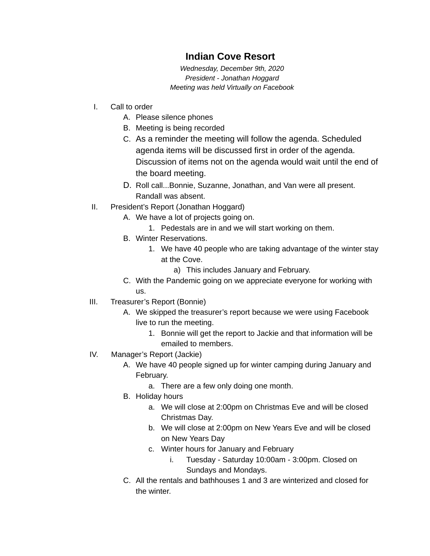## **Indian Cove Resort**

*Wednesday, December 9th, 2020 President - Jonathan Hoggard Meeting was held Virtually on Facebook*

- I. Call to order
	- A. Please silence phones
	- B. Meeting is being recorded
	- C. As a reminder the meeting will follow the agenda. Scheduled agenda items will be discussed first in order of the agenda. Discussion of items not on the agenda would wait until the end of the board meeting.
	- D. Roll call...Bonnie, Suzanne, Jonathan, and Van were all present. Randall was absent.
- II. President's Report (Jonathan Hoggard)
	- A. We have a lot of projects going on.
		- 1. Pedestals are in and we will start working on them.
	- B. Winter Reservations.
		- 1. We have 40 people who are taking advantage of the winter stay at the Cove.
			- a) This includes January and February.
	- C. With the Pandemic going on we appreciate everyone for working with us.
- III. Treasurer's Report (Bonnie)
	- A. We skipped the treasurer's report because we were using Facebook live to run the meeting.
		- 1. Bonnie will get the report to Jackie and that information will be emailed to members.
- IV. Manager's Report (Jackie)
	- A. We have 40 people signed up for winter camping during January and February.
		- a. There are a few only doing one month.
	- B. Holiday hours
		- a. We will close at 2:00pm on Christmas Eve and will be closed Christmas Day.
		- b. We will close at 2:00pm on New Years Eve and will be closed on New Years Day
		- c. Winter hours for January and February
			- i. Tuesday Saturday 10:00am 3:00pm. Closed on Sundays and Mondays.
	- C. All the rentals and bathhouses 1 and 3 are winterized and closed for the winter.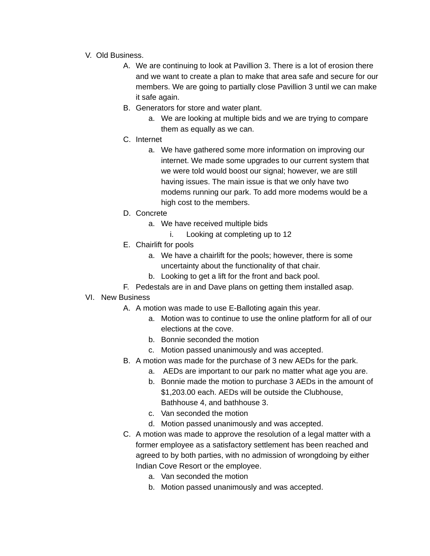- V. Old Business.
	- A. We are continuing to look at Pavillion 3. There is a lot of erosion there and we want to create a plan to make that area safe and secure for our members. We are going to partially close Pavillion 3 until we can make it safe again.
	- B. Generators for store and water plant.
		- a. We are looking at multiple bids and we are trying to compare them as equally as we can.
	- C. Internet
		- a. We have gathered some more information on improving our internet. We made some upgrades to our current system that we were told would boost our signal; however, we are still having issues. The main issue is that we only have two modems running our park. To add more modems would be a high cost to the members.
	- D. Concrete
		- a. We have received multiple bids
			- i. Looking at completing up to 12
	- E. Chairlift for pools
		- a. We have a chairlift for the pools; however, there is some uncertainty about the functionality of that chair.
		- b. Looking to get a lift for the front and back pool.
	- F. Pedestals are in and Dave plans on getting them installed asap.
- VI. New Business
	- A. A motion was made to use E-Balloting again this year.
		- a. Motion was to continue to use the online platform for all of our elections at the cove.
		- b. Bonnie seconded the motion
		- c. Motion passed unanimously and was accepted.
	- B. A motion was made for the purchase of 3 new AEDs for the park.
		- a. AEDs are important to our park no matter what age you are.
		- b. Bonnie made the motion to purchase 3 AEDs in the amount of \$1,203.00 each. AEDs will be outside the Clubhouse, Bathhouse 4, and bathhouse 3.
		- c. Van seconded the motion
		- d. Motion passed unanimously and was accepted.
	- C. A motion was made to approve the resolution of a legal matter with a former employee as a satisfactory settlement has been reached and agreed to by both parties, with no admission of wrongdoing by either Indian Cove Resort or the employee.
		- a. Van seconded the motion
		- b. Motion passed unanimously and was accepted.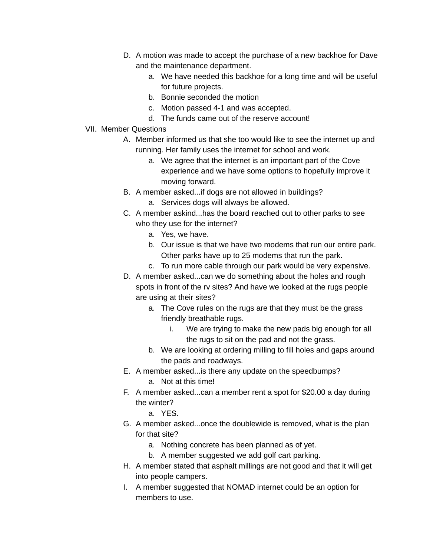- D. A motion was made to accept the purchase of a new backhoe for Dave and the maintenance department.
	- a. We have needed this backhoe for a long time and will be useful for future projects.
	- b. Bonnie seconded the motion
	- c. Motion passed 4-1 and was accepted.
	- d. The funds came out of the reserve account!
- VII. Member Questions
	- A. Member informed us that she too would like to see the internet up and running. Her family uses the internet for school and work.
		- a. We agree that the internet is an important part of the Cove experience and we have some options to hopefully improve it moving forward.
	- B. A member asked...if dogs are not allowed in buildings?
		- a. Services dogs will always be allowed.
	- C. A member askind...has the board reached out to other parks to see who they use for the internet?
		- a. Yes, we have.
		- b. Our issue is that we have two modems that run our entire park. Other parks have up to 25 modems that run the park.
		- c. To run more cable through our park would be very expensive.
	- D. A member asked...can we do something about the holes and rough spots in front of the rv sites? And have we looked at the rugs people are using at their sites?
		- a. The Cove rules on the rugs are that they must be the grass friendly breathable rugs.
			- i. We are trying to make the new pads big enough for all the rugs to sit on the pad and not the grass.
		- b. We are looking at ordering milling to fill holes and gaps around the pads and roadways.
	- E. A member asked...is there any update on the speedbumps?
		- a. Not at this time!
	- F. A member asked...can a member rent a spot for \$20.00 a day during the winter?
		- a. YES.
	- G. A member asked...once the doublewide is removed, what is the plan for that site?
		- a. Nothing concrete has been planned as of yet.
		- b. A member suggested we add golf cart parking.
	- H. A member stated that asphalt millings are not good and that it will get into people campers.
	- I. A member suggested that NOMAD internet could be an option for members to use.